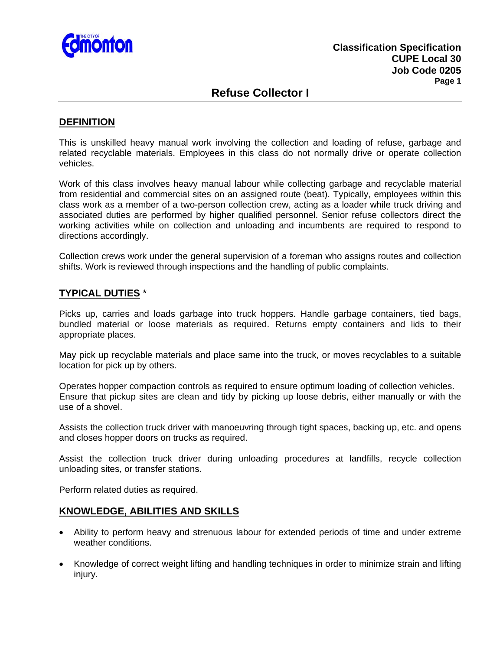

## **Refuse Collector I**

#### **DEFINITION**

This is unskilled heavy manual work involving the collection and loading of refuse, garbage and related recyclable materials. Employees in this class do not normally drive or operate collection vehicles.

Work of this class involves heavy manual labour while collecting garbage and recyclable material from residential and commercial sites on an assigned route (beat). Typically, employees within this class work as a member of a two-person collection crew, acting as a loader while truck driving and associated duties are performed by higher qualified personnel. Senior refuse collectors direct the working activities while on collection and unloading and incumbents are required to respond to directions accordingly.

Collection crews work under the general supervision of a foreman who assigns routes and collection shifts. Work is reviewed through inspections and the handling of public complaints.

### **TYPICAL DUTIES** \*

Picks up, carries and loads garbage into truck hoppers. Handle garbage containers, tied bags, bundled material or loose materials as required. Returns empty containers and lids to their appropriate places.

May pick up recyclable materials and place same into the truck, or moves recyclables to a suitable location for pick up by others.

Operates hopper compaction controls as required to ensure optimum loading of collection vehicles. Ensure that pickup sites are clean and tidy by picking up loose debris, either manually or with the use of a shovel.

Assists the collection truck driver with manoeuvring through tight spaces, backing up, etc. and opens and closes hopper doors on trucks as required.

Assist the collection truck driver during unloading procedures at landfills, recycle collection unloading sites, or transfer stations.

Perform related duties as required.

### **KNOWLEDGE, ABILITIES AND SKILLS**

- Ability to perform heavy and strenuous labour for extended periods of time and under extreme weather conditions.
- Knowledge of correct weight lifting and handling techniques in order to minimize strain and lifting injury.